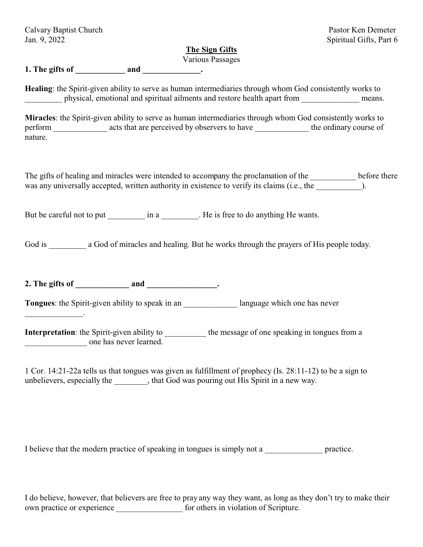| Calvary Baptist Church |  |
|------------------------|--|
| Jan. 9, 2022           |  |

 $\mathcal{L}=\mathcal{L}^{\mathcal{L}}$ 

## Pastor Ken Demeter Spiritual Gifts, Part 6

# **The Sign Gifts**

Various Passages

**1. The gifts of \_\_\_\_\_\_\_\_\_\_\_\_ and \_\_\_\_\_\_\_\_\_\_\_\_\_\_.**

**Healing**: the Spirit-given ability to serve as human intermediaries through whom God consistently works to physical, emotional and spiritual ailments and restore health apart from means.

**Miracles**: the Spirit-given ability to serve as human intermediaries through whom God consistently works to perform acts that are perceived by observers to have the ordinary course of nature.

The gifts of healing and miracles were intended to accompany the proclamation of the \_\_\_\_\_\_\_\_\_\_\_\_ before there was any universally accepted, written authority in existence to verify its claims (i.e., the  $\qquad \qquad$ ).

But be careful not to put \_\_\_\_\_\_\_\_\_\_\_ in a \_\_\_\_\_\_\_\_. He is free to do anything He wants.

God is a God of miracles and healing. But he works through the prayers of His people today.

**2. The gifts of \_\_\_\_\_\_\_\_\_\_\_\_\_ and \_\_\_\_\_\_\_\_\_\_\_\_\_\_\_\_\_.**

**Tongues**: the Spirit-given ability to speak in an **Example 2** language which one has never

**Interpretation**: the Spirit-given ability to \_\_\_\_\_\_\_\_\_\_\_ the message of one speaking in tongues from a \_\_\_\_\_\_\_\_\_\_\_\_\_\_\_ one has never learned.

1 Cor. 14:21-22a tells us that tongues was given as fulfillment of prophecy (Is. 28:11-12) to be a sign to unbelievers, especially the \_\_\_\_\_\_\_\_, that God was pouring out His Spirit in a new way.

I believe that the modern practice of speaking in tongues is simply not a \_\_\_\_\_\_\_\_\_\_\_\_\_\_ practice.

I do believe, however, that believers are free to pray any way they want, as long as they don't try to make their own practice or experience \_\_\_\_\_\_\_\_\_\_\_\_\_\_\_\_ for others in violation of Scripture.